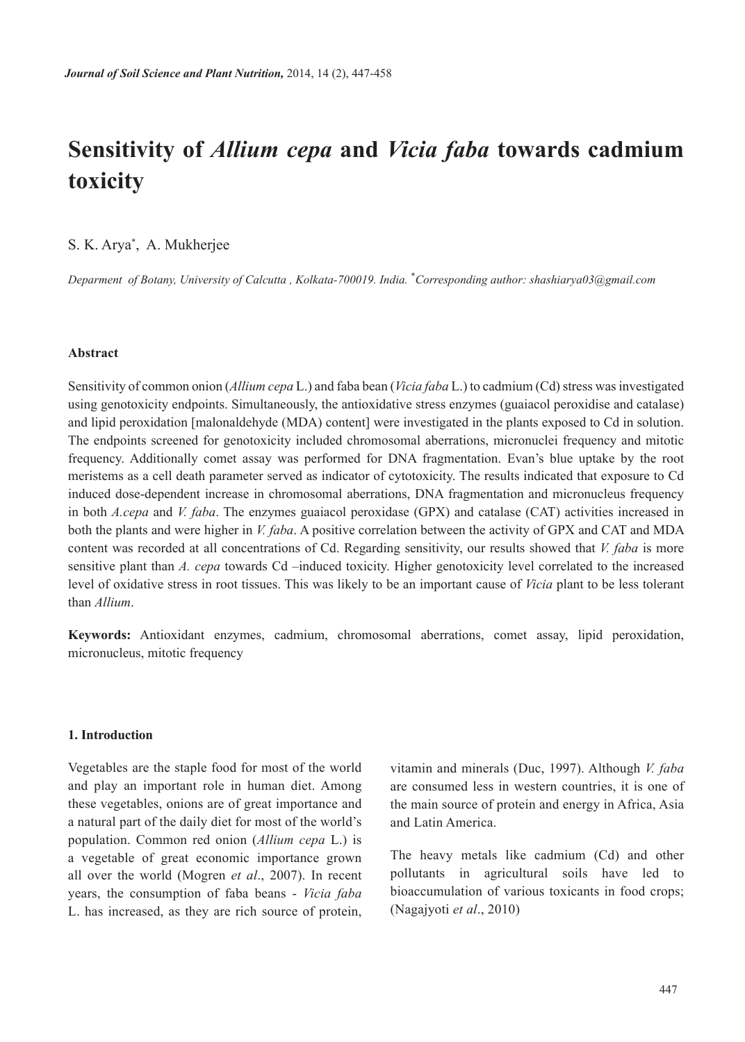# **Sensitivity of** *Allium cepa* **and** *Vicia faba* **towards cadmium toxicity**

# S. K. Arya\* , A. Mukherjee

*Deparment of Botany, University of Calcutta , Kolkata-700019. India.* \* *Corresponding author: shashiarya03@gmail.com*

## **Abstract**

Sensitivity of common onion (*Allium cepa* L.) and faba bean (*Vicia faba* L.) to cadmium (Cd) stress was investigated using genotoxicity endpoints. Simultaneously, the antioxidative stress enzymes (guaiacol peroxidise and catalase) and lipid peroxidation [malonaldehyde (MDA) content] were investigated in the plants exposed to Cd in solution. The endpoints screened for genotoxicity included chromosomal aberrations, micronuclei frequency and mitotic frequency. Additionally comet assay was performed for DNA fragmentation. Evan's blue uptake by the root meristems as a cell death parameter served as indicator of cytotoxicity. The results indicated that exposure to Cd induced dose-dependent increase in chromosomal aberrations, DNA fragmentation and micronucleus frequency in both *A.cepa* and *V. faba*. The enzymes guaiacol peroxidase (GPX) and catalase (CAT) activities increased in both the plants and were higher in *V. faba*. A positive correlation between the activity of GPX and CAT and MDA content was recorded at all concentrations of Cd. Regarding sensitivity, our results showed that *V. faba* is more sensitive plant than *A. cepa* towards Cd –induced toxicity. Higher genotoxicity level correlated to the increased level of oxidative stress in root tissues. This was likely to be an important cause of *Vicia* plant to be less tolerant than *Allium*.

**Keywords:** Antioxidant enzymes, cadmium, chromosomal aberrations, comet assay, lipid peroxidation, micronucleus, mitotic frequency

## **1. Introduction**

Vegetables are the staple food for most of the world and play an important role in human diet. Among these vegetables, onions are of great importance and a natural part of the daily diet for most of the world's population. Common red onion (*Allium cepa* L.) is a vegetable of great economic importance grown all over the world (Mogren *et al*., 2007). In recent years, the consumption of faba beans - *Vicia faba* L. has increased, as they are rich source of protein,

vitamin and minerals (Duc, 1997). Although *V. faba* are consumed less in western countries, it is one of the main source of protein and energy in Africa, Asia and Latin America.

The heavy metals like cadmium (Cd) and other pollutants in agricultural soils have led to bioaccumulation of various toxicants in food crops; (Nagajyoti *et al*., 2010)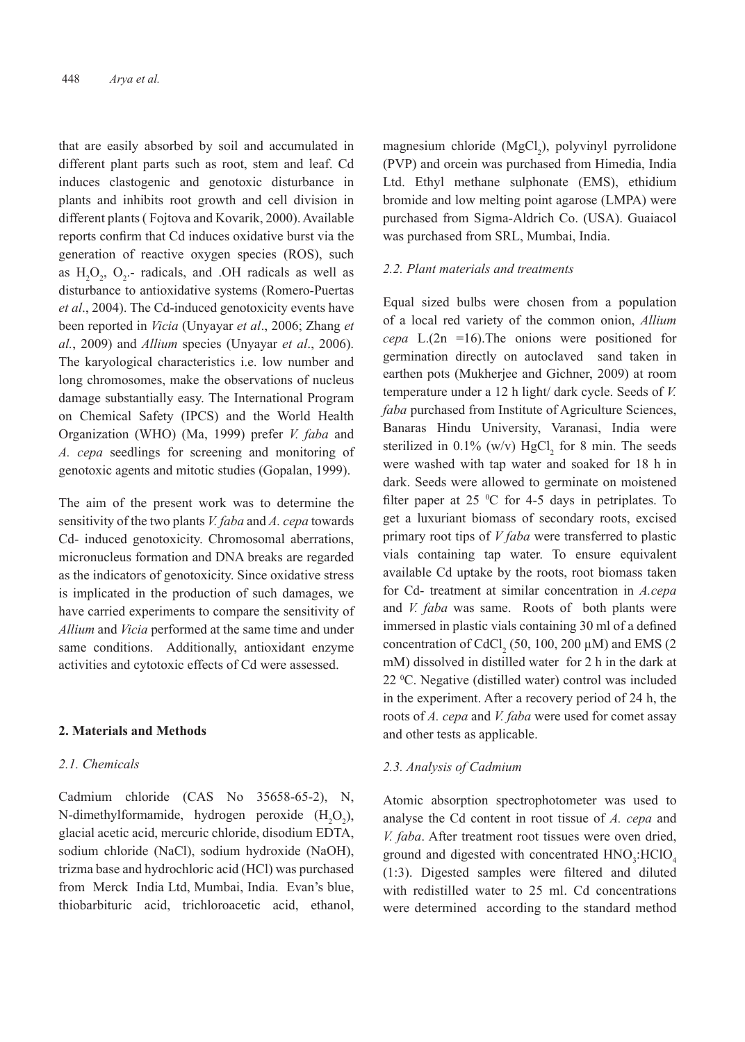that are easily absorbed by soil and accumulated in different plant parts such as root, stem and leaf. Cd induces clastogenic and genotoxic disturbance in plants and inhibits root growth and cell division in different plants ( Fojtova and Kovarik, 2000). Available reports confirm that Cd induces oxidative burst via the generation of reactive oxygen species (ROS), such as  $H_2O_2$ ,  $O_2$ - radicals, and .OH radicals as well as disturbance to antioxidative systems (Romero-Puertas *et al*., 2004). The Cd-induced genotoxicity events have been reported in *Vicia* (Unyayar *et al*., 2006; Zhang *et al.*, 2009) and *Allium* species (Unyayar *et al*., 2006). The karyological characteristics i.e. low number and long chromosomes, make the observations of nucleus damage substantially easy. The International Program on Chemical Safety (IPCS) and the World Health Organization (WHO) (Ma, 1999) prefer *V. faba* and *A. cepa* seedlings for screening and monitoring of genotoxic agents and mitotic studies (Gopalan, 1999).

The aim of the present work was to determine the sensitivity of the two plants *V. faba* and *A. cepa* towards Cd- induced genotoxicity. Chromosomal aberrations, micronucleus formation and DNA breaks are regarded as the indicators of genotoxicity. Since oxidative stress is implicated in the production of such damages, we have carried experiments to compare the sensitivity of *Allium* and *Vicia* performed at the same time and under same conditions. Additionally, antioxidant enzyme activities and cytotoxic effects of Cd were assessed.

#### **2. Materials and Methods**

#### *2.1. Chemicals*

Cadmium chloride (CAS No 35658-65-2), N, N-dimethylformamide, hydrogen peroxide  $(H_2O_2)$ , glacial acetic acid, mercuric chloride, disodium EDTA, sodium chloride (NaCl), sodium hydroxide (NaOH), trizma base and hydrochloric acid (HCl) was purchased from Merck India Ltd, Mumbai, India. Evan's blue, thiobarbituric acid, trichloroacetic acid, ethanol,

magnesium chloride  $(MgCl<sub>2</sub>)$ , polyvinyl pyrrolidone (PVP) and orcein was purchased from Himedia, India Ltd. Ethyl methane sulphonate (EMS), ethidium bromide and low melting point agarose (LMPA) were purchased from Sigma-Aldrich Co. (USA). Guaiacol was purchased from SRL, Mumbai, India.

## *2.2. Plant materials and treatments*

Equal sized bulbs were chosen from a population of a local red variety of the common onion, *Allium cepa* L.(2n =16).The onions were positioned for germination directly on autoclaved sand taken in earthen pots (Mukherjee and Gichner, 2009) at room temperature under a 12 h light/ dark cycle. Seeds of *V. faba* purchased from Institute of Agriculture Sciences, Banaras Hindu University, Varanasi, India were sterilized in  $0.1\%$  (w/v)  $HgCl<sub>2</sub>$  for 8 min. The seeds were washed with tap water and soaked for 18 h in dark. Seeds were allowed to germinate on moistened filter paper at 25  $\mathrm{^0C}$  for 4-5 days in petriplates. To get a luxuriant biomass of secondary roots, excised primary root tips of *V faba* were transferred to plastic vials containing tap water. To ensure equivalent available Cd uptake by the roots, root biomass taken for Cd- treatment at similar concentration in *A.cepa*  and *V. faba* was same. Roots of both plants were immersed in plastic vials containing 30 ml of a defined concentration of CdCl<sub>2</sub> (50, 100, 200  $\mu$ M) and EMS (2 mM) dissolved in distilled water for 2 h in the dark at 22 0 C. Negative (distilled water) control was included in the experiment. After a recovery period of 24 h, the roots of *A. cepa* and *V. faba* were used for comet assay and other tests as applicable.

#### *2.3. Analysis of Cadmium*

Atomic absorption spectrophotometer was used to analyse the Cd content in root tissue of *A. cepa* and *V. faba*. After treatment root tissues were oven dried, ground and digested with concentrated  $HNO<sub>3</sub>:HClO<sub>4</sub>$ (1:3). Digested samples were filtered and diluted with redistilled water to 25 ml. Cd concentrations were determined according to the standard method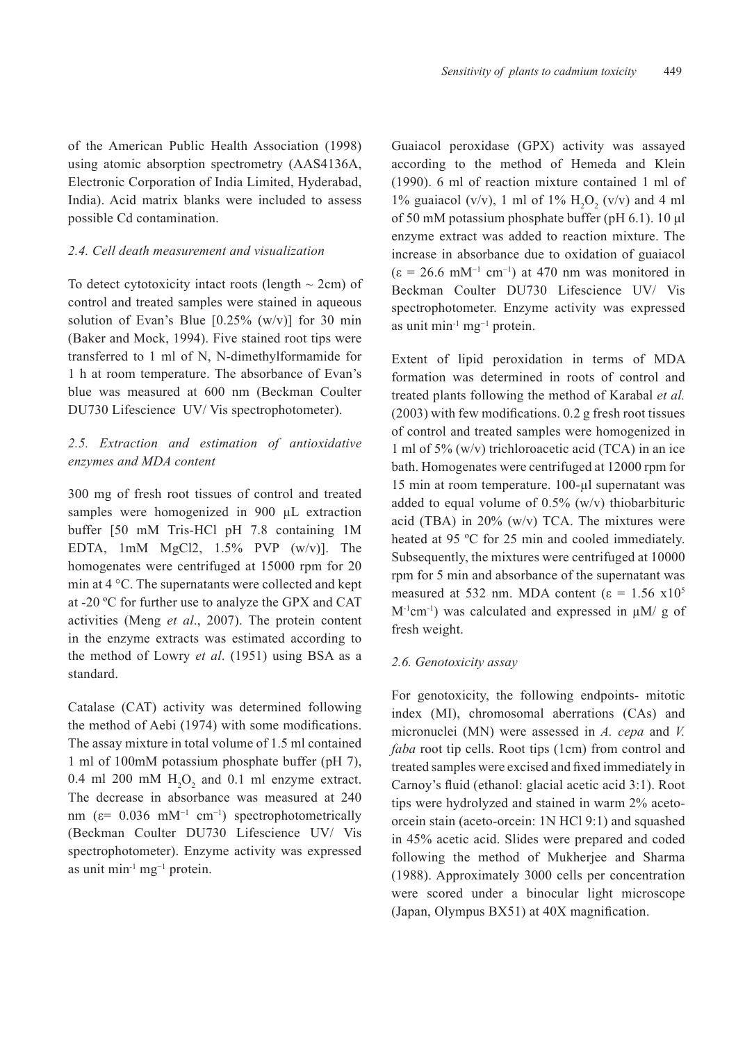of the American Public Health Association (1998) using atomic absorption spectrometry (AAS4136A, Electronic Corporation of India Limited, Hyderabad, India). Acid matrix blanks were included to assess possible Cd contamination.

## *2.4. Cell death measurement and visualization*

To detect cytotoxicity intact roots (length  $\sim$  2cm) of control and treated samples were stained in aqueous solution of Evan's Blue  $[0.25\%$  (w/v)] for 30 min (Baker and Mock, 1994). Five stained root tips were transferred to 1 ml of N, N-dimethylformamide for 1 h at room temperature. The absorbance of Evan's blue was measured at 600 nm (Beckman Coulter DU730 Lifescience UV/ Vis spectrophotometer).

# *2.5. Extraction and estimation of antioxidative enzymes and MDA content*

300 mg of fresh root tissues of control and treated samples were homogenized in 900  $\mu$ L extraction buffer [50 mM Tris-HCl pH 7.8 containing 1M EDTA, 1mM MgCl2, 1.5% PVP (w/v)]. The homogenates were centrifuged at 15000 rpm for 20 min at 4 °C. The supernatants were collected and kept at -20 ºC for further use to analyze the GPX and CAT activities (Meng *et al*., 2007). The protein content in the enzyme extracts was estimated according to the method of Lowry *et al*. (1951) using BSA as a standard.

Catalase (CAT) activity was determined following the method of Aebi (1974) with some modifications. The assay mixture in total volume of 1.5 ml contained 1 ml of 100mM potassium phosphate buffer (pH 7), 0.4 ml 200 mM  $H_2O_2$  and 0.1 ml enzyme extract. The decrease in absorbance was measured at 240 nm ( $\varepsilon$ = 0.036 mM<sup>-1</sup> cm<sup>-1</sup>) spectrophotometrically (Beckman Coulter DU730 Lifescience UV/ Vis spectrophotometer). Enzyme activity was expressed as unit min-1 mg−1 protein.

Guaiacol peroxidase (GPX) activity was assayed according to the method of Hemeda and Klein (1990). 6 ml of reaction mixture contained 1 ml of 1% guaiacol (v/v), 1 ml of 1%  $H_2O_2$  (v/v) and 4 ml of 50 mM potassium phosphate buffer (pH 6.1). 10 μl enzyme extract was added to reaction mixture. The increase in absorbance due to oxidation of guaiacol  $(\epsilon = 26.6 \text{ mM}^{-1} \text{ cm}^{-1})$  at 470 nm was monitored in Beckman Coulter DU730 Lifescience UV/ Vis spectrophotometer. Enzyme activity was expressed as unit min<sup>-1</sup> mg<sup>-1</sup> protein.

Extent of lipid peroxidation in terms of MDA formation was determined in roots of control and treated plants following the method of Karabal *et al.*  (2003) with few modifications. 0.2 g fresh root tissues of control and treated samples were homogenized in 1 ml of 5% (w/v) trichloroacetic acid (TCA) in an ice bath. Homogenates were centrifuged at 12000 rpm for 15 min at room temperature. 100-µl supernatant was added to equal volume of  $0.5\%$  (w/v) thiobarbituric acid (TBA) in 20% (w/v) TCA. The mixtures were heated at 95 ºC for 25 min and cooled immediately. Subsequently, the mixtures were centrifuged at 10000 rpm for 5 min and absorbance of the supernatant was measured at 532 nm. MDA content ( $\varepsilon = 1.56$  x10<sup>5</sup>  $M^{-1}$ cm<sup>-1</sup>) was calculated and expressed in  $\mu$ M/ g of fresh weight.

#### *2.6. Genotoxicity assay*

For genotoxicity, the following endpoints- mitotic index (MI), chromosomal aberrations (CAs) and micronuclei (MN) were assessed in *A. cepa* and *V. faba* root tip cells. Root tips (1cm) from control and treated samples were excised and fixed immediately in Carnoy's fluid (ethanol: glacial acetic acid 3:1). Root tips were hydrolyzed and stained in warm 2% acetoorcein stain (aceto-orcein: 1N HCl 9:1) and squashed in 45% acetic acid. Slides were prepared and coded following the method of Mukherjee and Sharma (1988). Approximately 3000 cells per concentration were scored under a binocular light microscope (Japan, Olympus BX51) at 40X magnification.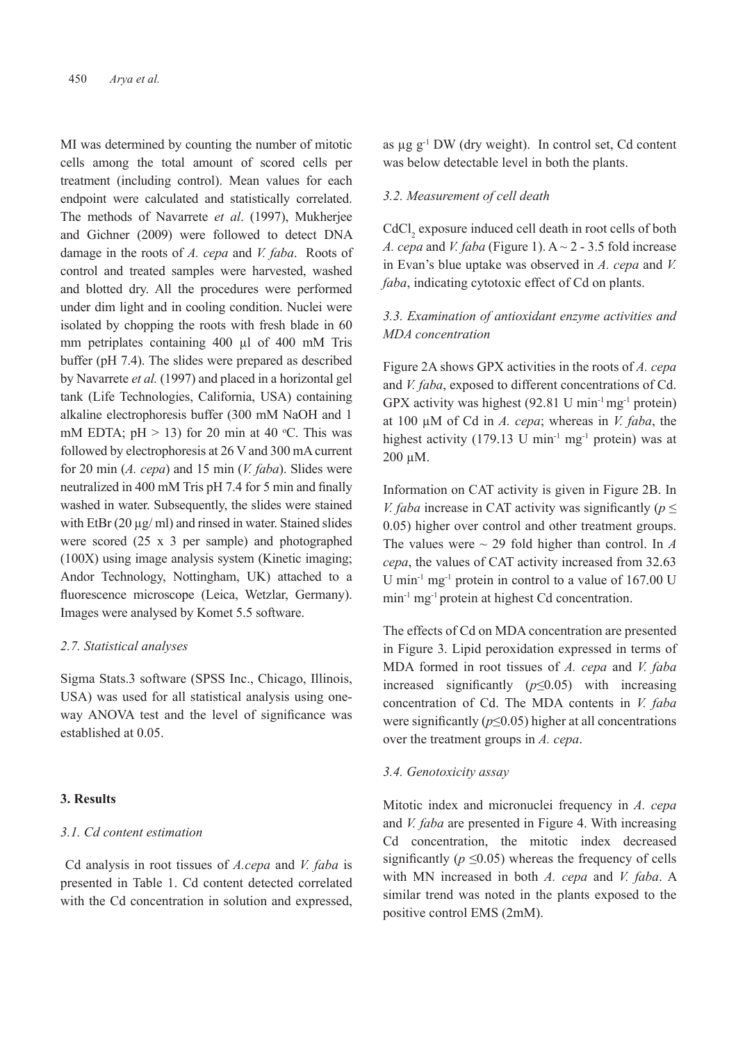MI was determined by counting the number of mitotic cells among the total amount of scored cells per treatment (including control). Mean values for each endpoint were calculated and statistically correlated. The methods of Navarrete *et al*. (1997), Mukherjee and Gichner (2009) were followed to detect DNA damage in the roots of *A. cepa* and *V. faba*. Roots of control and treated samples were harvested, washed and blotted dry. All the procedures were performed under dim light and in cooling condition. Nuclei were isolated by chopping the roots with fresh blade in 60 mm petriplates containing 400 µl of 400 mM Tris buffer (pH 7.4). The slides were prepared as described by Navarrete *et al.* (1997) and placed in a horizontal gel tank (Life Technologies, California, USA) containing alkaline electrophoresis buffer (300 mM NaOH and 1 mM EDTA;  $pH > 13$ ) for 20 min at 40 °C. This was followed by electrophoresis at 26 V and 300 mA current for 20 min (*A. cepa*) and 15 min (*V. faba*). Slides were neutralized in 400 mM Tris pH 7.4 for 5 min and finally washed in water. Subsequently, the slides were stained with EtBr (20  $\mu$ g/ ml) and rinsed in water. Stained slides were scored (25 x 3 per sample) and photographed (100X) using image analysis system (Kinetic imaging; Andor Technology, Nottingham, UK) attached to a fluorescence microscope (Leica, Wetzlar, Germany). Images were analysed by Komet 5.5 software.

#### *2.7. Statistical analyses*

Sigma Stats.3 software (SPSS Inc., Chicago, Illinois, USA) was used for all statistical analysis using oneway ANOVA test and the level of significance was established at 0.05.

#### **3. Results**

# *3.1. Cd content estimation*

 Cd analysis in root tissues of *A.cepa* and *V. faba* is presented in Table 1. Cd content detected correlated with the Cd concentration in solution and expressed, as  $\mu$ g g<sup>-1</sup> DW (dry weight). In control set, Cd content was below detectable level in both the plants.

## *3.2. Measurement of cell death*

 $\text{CdCl}_2$  exposure induced cell death in root cells of both *A. cepa* and *V. faba* (Figure 1).  $A \sim 2 - 3.5$  fold increase in Evan's blue uptake was observed in *A. cepa* and *V. faba*, indicating cytotoxic effect of Cd on plants.

# *3.3. Examination of antioxidant enzyme activities and MDA concentration*

Figure 2A shows GPX activities in the roots of *A. cepa*  and *V. faba*, exposed to different concentrations of Cd. GPX activity was highest  $(92.81 \text{ U min}^{-1} \text{ mg}^{-1})$  protein) at 100 µM of Cd in *A. cepa*; whereas in *V. faba*, the highest activity (179.13 U min<sup>-1</sup> mg<sup>-1</sup> protein) was at 200 µM.

Information on CAT activity is given in Figure 2B. In *V. faba* increase in CAT activity was significantly ( $p \leq$ 0.05) higher over control and other treatment groups. The values were  $\sim$  29 fold higher than control. In *A cepa*, the values of CAT activity increased from 32.63 U min<sup>-1</sup> mg<sup>-1</sup> protein in control to a value of  $167.00$  U min-1 mg-1 protein at highest Cd concentration.

The effects of Cd on MDA concentration are presented in Figure 3. Lipid peroxidation expressed in terms of MDA formed in root tissues of *A. cepa* and *V. faba*  increased significantly (*p*≤0.05) with increasing concentration of Cd. The MDA contents in *V. faba*  were significantly (*p*≤0.05) higher at all concentrations over the treatment groups in *A. cepa*.

## *3.4. Genotoxicity assay*

Mitotic index and micronuclei frequency in *A. cepa*  and *V. faba* are presented in Figure 4. With increasing Cd concentration, the mitotic index decreased significantly ( $p \le 0.05$ ) whereas the frequency of cells with MN increased in both *A. cepa* and *V. faba*. A similar trend was noted in the plants exposed to the positive control EMS (2mM).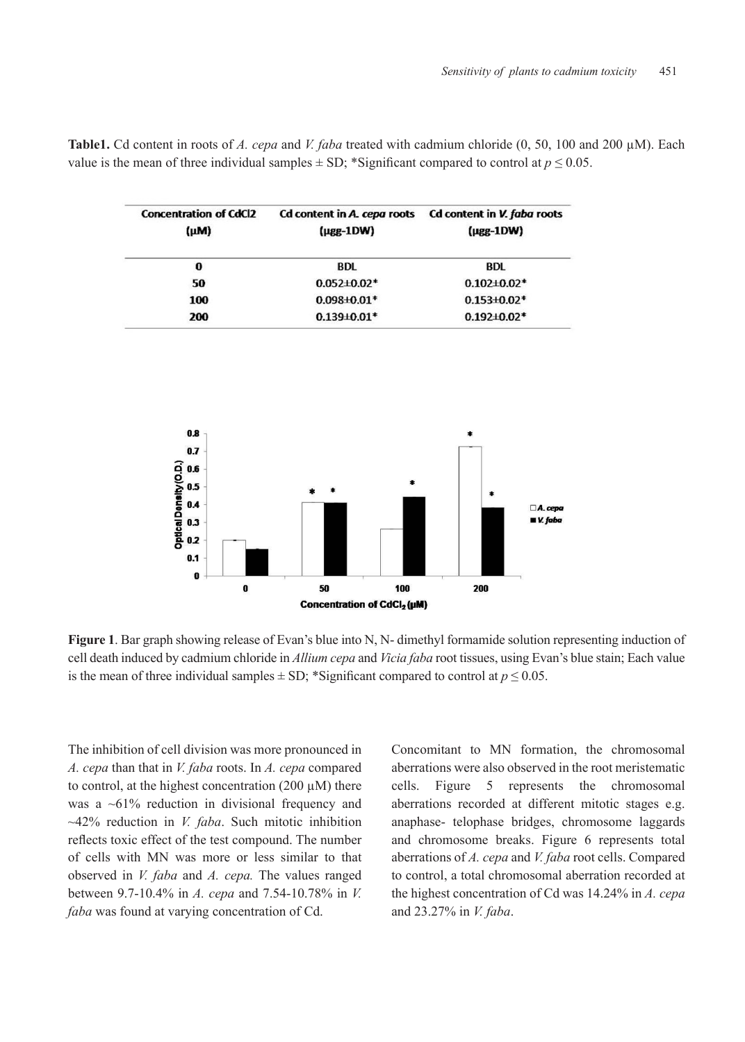| <b>Concentration of CdCl2</b><br>(µM) | Cd content in A. cepa roots<br>$(\mu$ gg-1DW) | Cd content in V. faba roots<br>$(\mu$ gg-1DW)<br><b>BDL</b><br>$0.102 \pm 0.02$ * |  |
|---------------------------------------|-----------------------------------------------|-----------------------------------------------------------------------------------|--|
| 0                                     | <b>BDL</b>                                    |                                                                                   |  |
| 50                                    | $0.052 \pm 0.02$ *                            |                                                                                   |  |
| 100                                   | $0.098 + 0.01*$<br>$0.153 + 0.02*$            |                                                                                   |  |
| 200                                   | $0.139 + 0.01*$                               | $0.192 \pm 0.02*$                                                                 |  |

**Table1.** Cd content in roots of *A. cepa* and *V. faba* treated with cadmium chloride (0, 50, 100 and 200 µM). Each value is the mean of three individual samples  $\pm$  SD; \*Significant compared to control at  $p \le 0.05$ .



**Figure 1**. Bar graph showing release of Evan's blue into N, N- dimethyl formamide solution representing induction of cell death induced by cadmium chloride in *Allium cepa* and *Vicia faba* root tissues, using Evan's blue stain; Each value is the mean of three individual samples  $\pm$  SD; \*Significant compared to control at  $p \le 0.05$ .

The inhibition of cell division was more pronounced in *A. cepa* than that in *V. faba* roots. In *A. cepa* compared to control, at the highest concentration (200  $\mu$ M) there was a ~61% reduction in divisional frequency and ~42% reduction in *V. faba*. Such mitotic inhibition reflects toxic effect of the test compound. The number of cells with MN was more or less similar to that observed in *V. faba* and *A. cepa.* The values ranged between 9.7-10.4% in *A. cepa* and 7.54-10.78% in *V. faba* was found at varying concentration of Cd.

Concomitant to MN formation, the chromosomal aberrations were also observed in the root meristematic cells. Figure 5 represents the chromosomal aberrations recorded at different mitotic stages e.g. anaphase- telophase bridges, chromosome laggards and chromosome breaks. Figure 6 represents total aberrations of *A. cepa* and *V. faba* root cells. Compared to control, a total chromosomal aberration recorded at the highest concentration of Cd was 14.24% in *A. cepa*  and 23.27% in *V. faba*.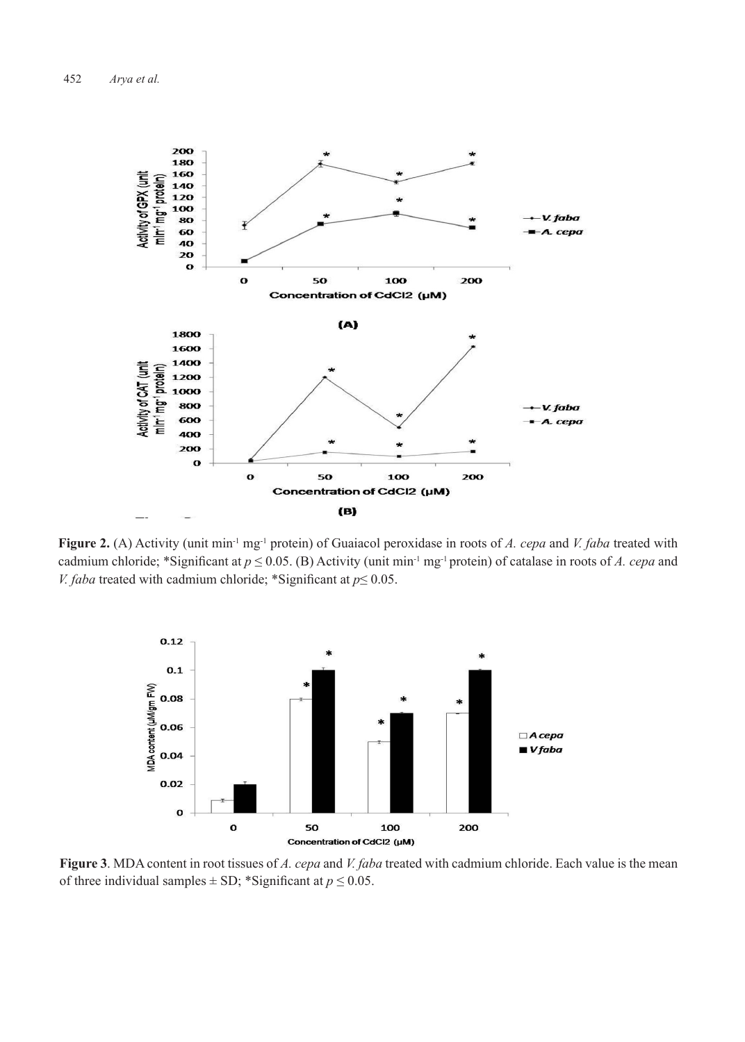

**Figure 2.** (A) Activity (unit min-1 mg-1 protein) of Guaiacol peroxidase in roots of *A. cepa* and *V. faba* treated with cadmium chloride; \*Significant at  $p \le 0.05$ . (B) Activity (unit min<sup>-1</sup> mg<sup>-1</sup> protein) of catalase in roots of *A. cepa* and *V. faba* treated with cadmium chloride; \*Significant at *p*≤ 0.05.



**Figure 3**. MDA content in root tissues of *A. cepa* and *V. faba* treated with cadmium chloride. Each value is the mean of three individual samples  $\pm$  SD; \*Significant at  $p \le 0.05$ .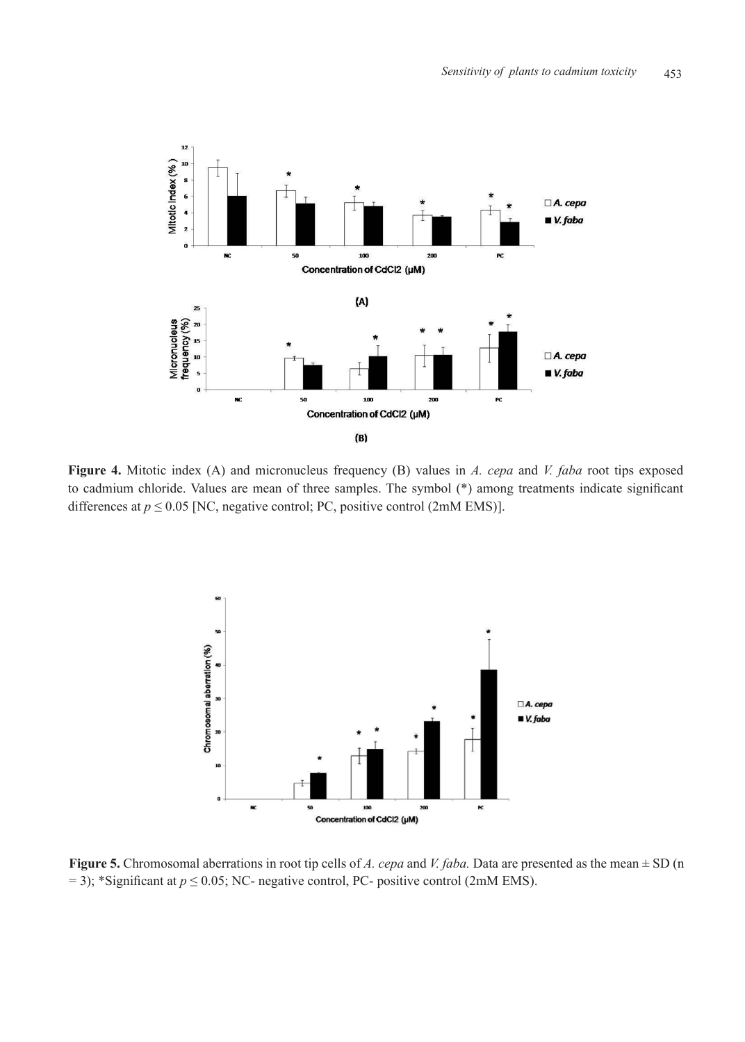

**Figure 4.** Mitotic index (A) and micronucleus frequency (B) values in *A. cepa* and *V. faba* root tips exposed to cadmium chloride. Values are mean of three samples. The symbol (\*) among treatments indicate significant differences at  $p \le 0.05$  [NC, negative control; PC, positive control (2mM EMS)].



**Figure 5.** Chromosomal aberrations in root tip cells of *A. cepa* and *V. faba.* Data are presented as the mean ± SD (n  $= 3$ ); \*Significant at  $p \le 0.05$ ; NC- negative control, PC- positive control (2mM EMS).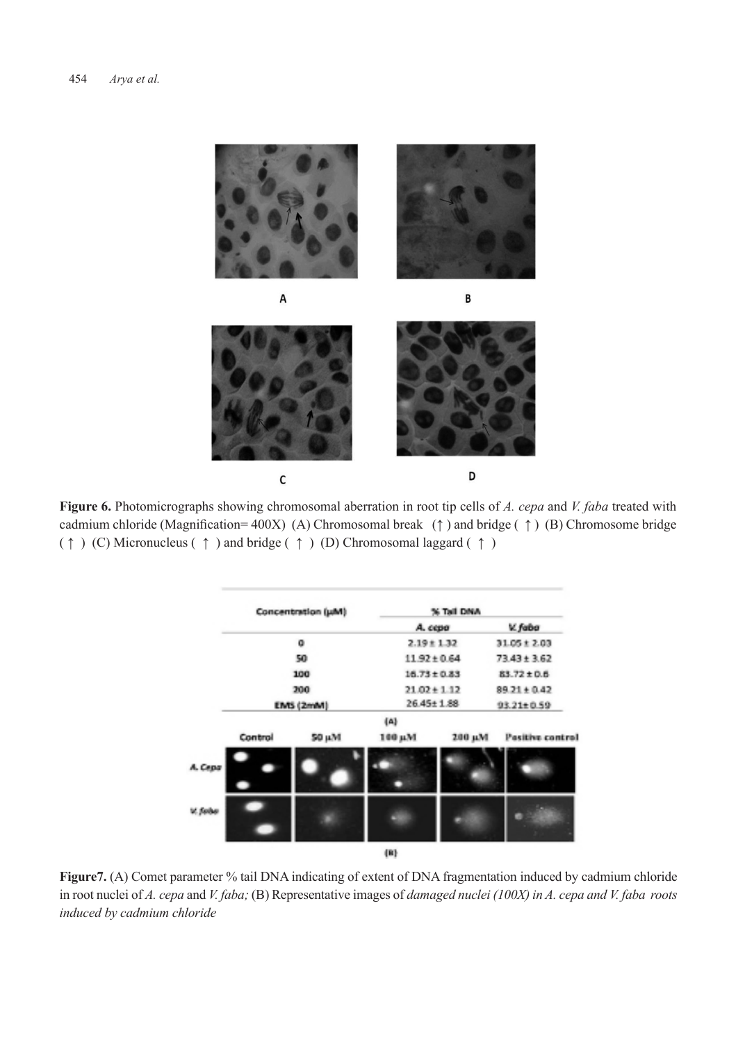

**Figure 6.** Photomicrographs showing chromosomal aberration in root tip cells of *A. cepa* and *V. faba* treated with cadmium chloride (Magnification= 400X) (A) Chromosomal break (**↑** ) and bridge ( **↑** ) (B) Chromosome bridge ( ↑ ) (C) Micronucleus ( ↑ ) and bridge ( ↑ ) (D) Chromosomal laggard ( ↑ )

| Concentration (uM) |           | % Tall DNA |                  |                  |  |
|--------------------|-----------|------------|------------------|------------------|--|
|                    |           |            | A. cepa          | V. faba          |  |
|                    | ٥         |            | $2.19 \pm 1.32$  | $31.05 \pm 2.03$ |  |
|                    | 50        |            | $11.92 \pm 0.64$ |                  |  |
|                    | 100       |            | $16.73 \pm 0.83$ | 83.72 ± 0.6      |  |
|                    | 200       |            | $21.02 + 1.12$   | $89.21 \pm 0.42$ |  |
|                    | EMS (2mM) |            | $26.45 \pm 1.88$ | $93.21 \pm 0.59$ |  |
|                    |           | ${A}$      |                  |                  |  |
| Control            | 50 µM     | 100 µM     | 200 µM           | Pasitive control |  |
| A. Cepa            |           |            |                  |                  |  |
| V. febe            |           |            |                  |                  |  |
|                    |           | $\{B\}$    |                  |                  |  |

**Figure7.** (A) Comet parameter % tail DNA indicating of extent of DNA fragmentation induced by cadmium chloride in root nuclei of *A. cepa* and *V. faba;* (B) Representative images of *damaged nuclei (100X) in A. cepa and V. faba roots induced by cadmium chloride*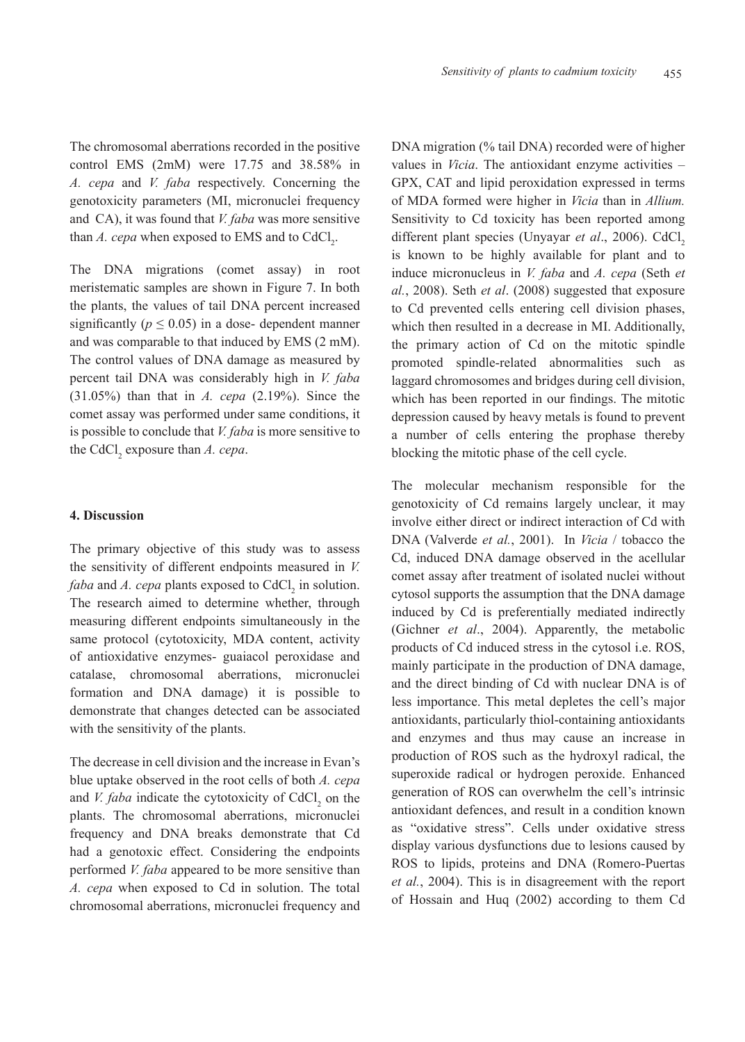The chromosomal aberrations recorded in the positive control EMS (2mM) were 17.75 and 38.58% in *A. cepa* and *V. faba* respectively. Concerning the genotoxicity parameters (MI, micronuclei frequency and CA), it was found that *V. faba* was more sensitive than *A. cepa* when exposed to EMS and to  $CdCl_2$ .

The DNA migrations (comet assay) in root meristematic samples are shown in Figure 7. In both the plants, the values of tail DNA percent increased significantly ( $p \le 0.05$ ) in a dose- dependent manner and was comparable to that induced by EMS (2 mM). The control values of DNA damage as measured by percent tail DNA was considerably high in *V. faba*  (31.05%) than that in *A. cepa* (2.19%). Since the comet assay was performed under same conditions, it is possible to conclude that *V. faba* is more sensitive to the  $\text{CdCl}_2$  exposure than *A. cepa.* 

## **4. Discussion**

The primary objective of this study was to assess the sensitivity of different endpoints measured in *V. faba* and *A. cepa* plants exposed to  $CdCl<sub>2</sub>$  in solution. The research aimed to determine whether, through measuring different endpoints simultaneously in the same protocol (cytotoxicity, MDA content, activity of antioxidative enzymes- guaiacol peroxidase and catalase, chromosomal aberrations, micronuclei formation and DNA damage) it is possible to demonstrate that changes detected can be associated with the sensitivity of the plants.

The decrease in cell division and the increase in Evan's blue uptake observed in the root cells of both *A. cepa*  and *V. faba* indicate the cytotoxicity of  $CdCl<sub>2</sub>$  on the plants. The chromosomal aberrations, micronuclei frequency and DNA breaks demonstrate that Cd had a genotoxic effect. Considering the endpoints performed *V. faba* appeared to be more sensitive than *A. cepa* when exposed to Cd in solution. The total chromosomal aberrations, micronuclei frequency and

DNA migration (% tail DNA) recorded were of higher values in *Vicia*. The antioxidant enzyme activities – GPX, CAT and lipid peroxidation expressed in terms of MDA formed were higher in *Vicia* than in *Allium.* Sensitivity to Cd toxicity has been reported among different plant species (Unyayar et al., 2006). CdCl<sub>2</sub> is known to be highly available for plant and to induce micronucleus in *V. faba* and *A. cepa* (Seth *et al.*, 2008). Seth *et al*. (2008) suggested that exposure to Cd prevented cells entering cell division phases, which then resulted in a decrease in MI. Additionally, the primary action of Cd on the mitotic spindle promoted spindle-related abnormalities such as laggard chromosomes and bridges during cell division, which has been reported in our findings. The mitotic depression caused by heavy metals is found to prevent a number of cells entering the prophase thereby blocking the mitotic phase of the cell cycle.

The molecular mechanism responsible for the genotoxicity of Cd remains largely unclear, it may involve either direct or indirect interaction of Cd with DNA (Valverde *et al.*, 2001). In *Vicia* / tobacco the Cd, induced DNA damage observed in the acellular comet assay after treatment of isolated nuclei without cytosol supports the assumption that the DNA damage induced by Cd is preferentially mediated indirectly (Gichner *et al*., 2004). Apparently, the metabolic products of Cd induced stress in the cytosol i.e. ROS, mainly participate in the production of DNA damage, and the direct binding of Cd with nuclear DNA is of less importance. This metal depletes the cell's major antioxidants, particularly thiol-containing antioxidants and enzymes and thus may cause an increase in production of ROS such as the hydroxyl radical, the superoxide radical or hydrogen peroxide. Enhanced generation of ROS can overwhelm the cell's intrinsic antioxidant defences, and result in a condition known as "oxidative stress". Cells under oxidative stress display various dysfunctions due to lesions caused by ROS to lipids, proteins and DNA (Romero-Puertas *et al.*, 2004). This is in disagreement with the report of Hossain and Huq (2002) according to them Cd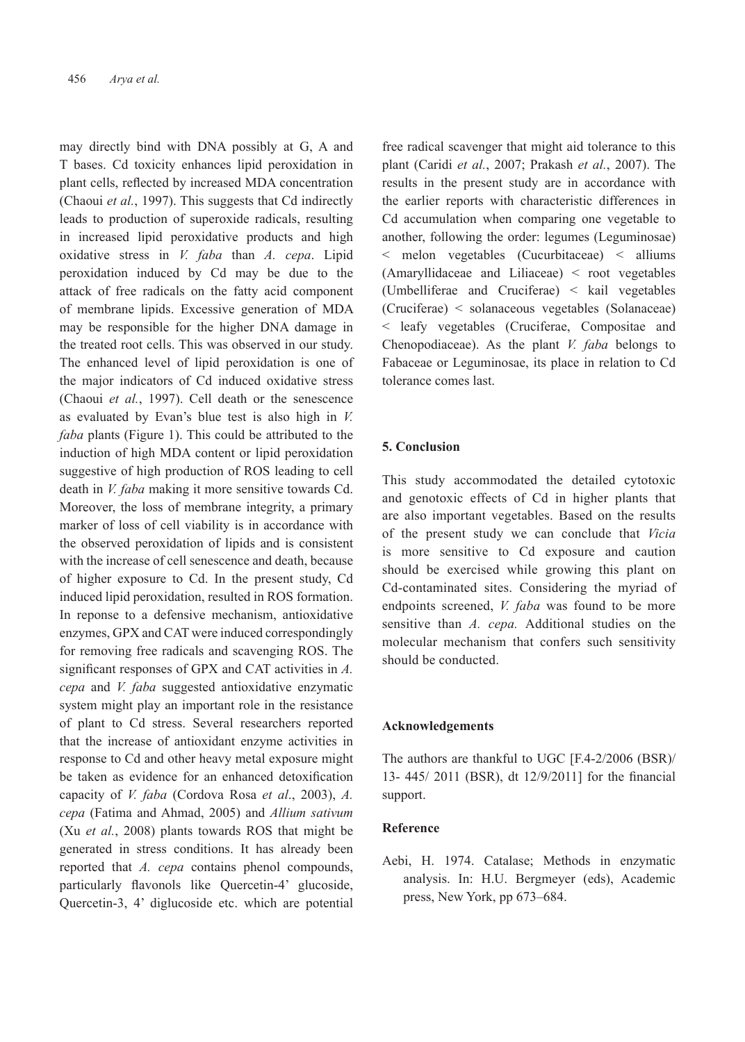may directly bind with DNA possibly at G, A and T bases. Cd toxicity enhances lipid peroxidation in plant cells, reflected by increased MDA concentration (Chaoui *et al.*, 1997). This suggests that Cd indirectly leads to production of superoxide radicals, resulting in increased lipid peroxidative products and high oxidative stress in *V. faba* than *A. cepa*. Lipid peroxidation induced by Cd may be due to the attack of free radicals on the fatty acid component of membrane lipids. Excessive generation of MDA may be responsible for the higher DNA damage in the treated root cells. This was observed in our study. The enhanced level of lipid peroxidation is one of the major indicators of Cd induced oxidative stress (Chaoui *et al.*, 1997). Cell death or the senescence as evaluated by Evan's blue test is also high in *V. faba* plants (Figure 1). This could be attributed to the induction of high MDA content or lipid peroxidation suggestive of high production of ROS leading to cell death in *V. faba* making it more sensitive towards Cd. Moreover, the loss of membrane integrity, a primary marker of loss of cell viability is in accordance with the observed peroxidation of lipids and is consistent with the increase of cell senescence and death, because of higher exposure to Cd. In the present study, Cd induced lipid peroxidation, resulted in ROS formation. In reponse to a defensive mechanism, antioxidative enzymes, GPX and CAT were induced correspondingly for removing free radicals and scavenging ROS. The significant responses of GPX and CAT activities in *A. cepa* and *V. faba* suggested antioxidative enzymatic system might play an important role in the resistance of plant to Cd stress. Several researchers reported that the increase of antioxidant enzyme activities in response to Cd and other heavy metal exposure might be taken as evidence for an enhanced detoxification capacity of *V. faba* (Cordova Rosa *et al*., 2003), *A. cepa* (Fatima and Ahmad, 2005) and *Allium sativum*  (Xu *et al.*, 2008) plants towards ROS that might be generated in stress conditions. It has already been reported that *A. cepa* contains phenol compounds, particularly flavonols like Quercetin-4' glucoside, Quercetin-3, 4' diglucoside etc. which are potential

free radical scavenger that might aid tolerance to this plant (Caridi *et al.*, 2007; Prakash *et al.*, 2007). The results in the present study are in accordance with the earlier reports with characteristic differences in Cd accumulation when comparing one vegetable to another, following the order: legumes (Leguminosae) < melon vegetables (Cucurbitaceae) < alliums (Amaryllidaceae and Liliaceae) < root vegetables (Umbelliferae and Cruciferae) < kail vegetables (Cruciferae) < solanaceous vegetables (Solanaceae) < leafy vegetables (Cruciferae, Compositae and Chenopodiaceae). As the plant *V. faba* belongs to Fabaceae or Leguminosae, its place in relation to Cd tolerance comes last.

#### **5. Conclusion**

This study accommodated the detailed cytotoxic and genotoxic effects of Cd in higher plants that are also important vegetables. Based on the results of the present study we can conclude that *Vicia* is more sensitive to Cd exposure and caution should be exercised while growing this plant on Cd-contaminated sites. Considering the myriad of endpoints screened, *V. faba* was found to be more sensitive than *A. cepa.* Additional studies on the molecular mechanism that confers such sensitivity should be conducted.

#### **Acknowledgements**

The authors are thankful to UGC [F.4-2/2006 (BSR)/ 13- 445/ 2011 (BSR), dt 12/9/2011] for the financial support.

# **Reference**

Aebi, H. 1974. Catalase; Methods in enzymatic analysis. In: H.U. Bergmeyer (eds), Academic press, New York, pp 673–684.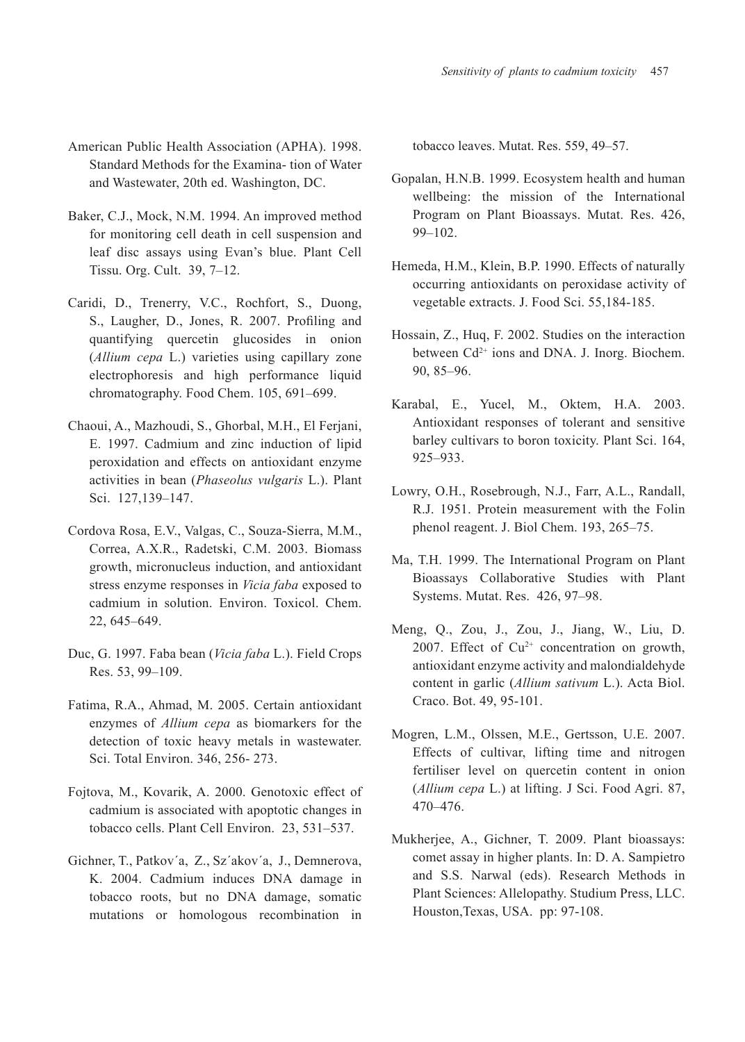- American Public Health Association (APHA). 1998. Standard Methods for the Examina- tion of Water and Wastewater, 20th ed. Washington, DC.
- Baker, C.J., Mock, N.M. 1994. An improved method for monitoring cell death in cell suspension and leaf disc assays using Evan's blue. Plant Cell Tissu. Org. Cult. 39, 7–12.
- Caridi, D., Trenerry, V.C., Rochfort, S., Duong, S., Laugher, D., Jones, R. 2007. Profiling and quantifying quercetin glucosides in onion (*Allium cepa* L.) varieties using capillary zone electrophoresis and high performance liquid chromatography. Food Chem. 105, 691–699.
- Chaoui, A., Mazhoudi, S., Ghorbal, M.H., El Ferjani, E. 1997. Cadmium and zinc induction of lipid peroxidation and effects on antioxidant enzyme activities in bean (*Phaseolus vulgaris* L.). Plant Sci. 127,139–147.
- Cordova Rosa, E.V., Valgas, C., Souza-Sierra, M.M., Correa, A.X.R., Radetski, C.M. 2003. Biomass growth, micronucleus induction, and antioxidant stress enzyme responses in *Vicia faba* exposed to cadmium in solution. Environ. Toxicol. Chem. 22, 645–649.
- Duc, G. 1997. Faba bean (*Vicia faba* L.). Field Crops Res. 53, 99–109.
- Fatima, R.A., Ahmad, M. 2005. Certain antioxidant enzymes of *Allium cepa* as biomarkers for the detection of toxic heavy metals in wastewater. Sci. Total Environ. 346, 256- 273.
- Fojtova, M., Kovarik, A. 2000. Genotoxic effect of cadmium is associated with apoptotic changes in tobacco cells. Plant Cell Environ. 23, 531–537.
- Gichner, T., Patkov´a, Z., Sz´akov´a, J., Demnerova, K. 2004. Cadmium induces DNA damage in tobacco roots, but no DNA damage, somatic mutations or homologous recombination in

tobacco leaves. Mutat. Res. 559, 49–57.

- Gopalan, H.N.B. 1999. Ecosystem health and human wellbeing: the mission of the International Program on Plant Bioassays. Mutat. Res. 426, 99–102.
- Hemeda, H.M., Klein, B.P. 1990. Effects of naturally occurring antioxidants on peroxidase activity of vegetable extracts. J. Food Sci. 55,184-185.
- Hossain, Z., Huq, F. 2002. Studies on the interaction between Cd<sup>2+</sup> ions and DNA. J. Inorg. Biochem. 90, 85–96.
- Karabal, E., Yucel, M., Oktem, H.A. 2003. Antioxidant responses of tolerant and sensitive barley cultivars to boron toxicity. Plant Sci. 164, 925–933.
- Lowry, O.H., Rosebrough, N.J., Farr, A.L., Randall, R.J. 1951. Protein measurement with the Folin phenol reagent. J. Biol Chem. 193, 265–75.
- Ma, T.H. 1999. The International Program on Plant Bioassays Collaborative Studies with Plant Systems. Mutat. Res. 426, 97–98.
- Meng, Q., Zou, J., Zou, J., Jiang, W., Liu, D. 2007. Effect of  $Cu^{2+}$  concentration on growth, antioxidant enzyme activity and malondialdehyde content in garlic (*Allium sativum* L.). Acta Biol. Craco. Bot. 49, 95-101.
- Mogren, L.M., Olssen, M.E., Gertsson, U.E. 2007. Effects of cultivar, lifting time and nitrogen fertiliser level on quercetin content in onion (*Allium cepa* L.) at lifting. J Sci. Food Agri. 87, 470–476.
- Mukherjee, A., Gichner, T. 2009. Plant bioassays: comet assay in higher plants. In: D. A. Sampietro and S.S. Narwal (eds). Research Methods in Plant Sciences: Allelopathy. Studium Press, LLC. Houston,Texas, USA. pp: 97-108.